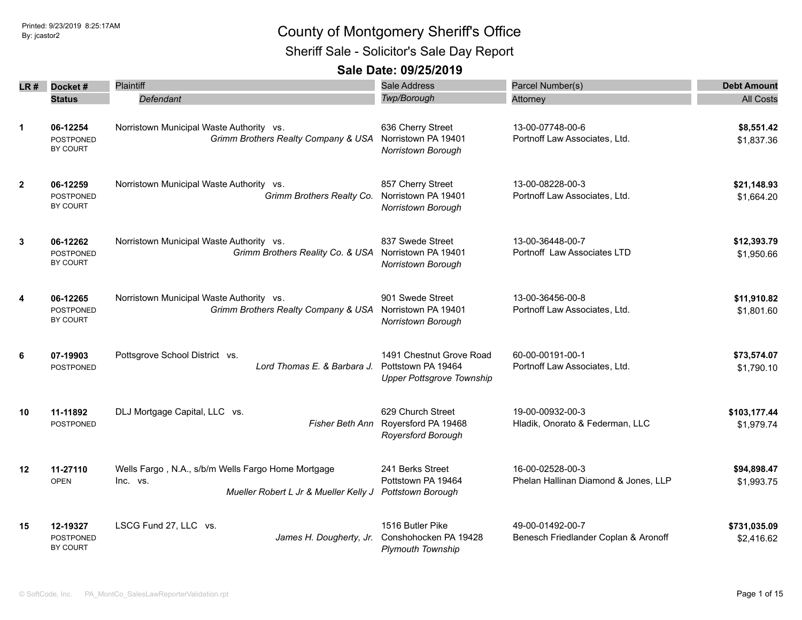Sheriff Sale - Solicitor's Sale Day Report

| LR #           | Docket#                                         | Plaintiff                                                                                                                 | Sale Address                                                                       | Parcel Number(s)                                         | <b>Debt Amount</b>         |
|----------------|-------------------------------------------------|---------------------------------------------------------------------------------------------------------------------------|------------------------------------------------------------------------------------|----------------------------------------------------------|----------------------------|
|                | <b>Status</b>                                   | Defendant                                                                                                                 | Twp/Borough                                                                        | Attorney                                                 | <b>All Costs</b>           |
| $\mathbf{1}$   | 06-12254<br><b>POSTPONED</b><br>BY COURT        | Norristown Municipal Waste Authority vs.<br>Grimm Brothers Realty Company & USA                                           | 636 Cherry Street<br>Norristown PA 19401<br>Norristown Borough                     | 13-00-07748-00-6<br>Portnoff Law Associates, Ltd.        | \$8,551.42<br>\$1,837.36   |
| $\overline{2}$ | 06-12259<br>POSTPONED<br>BY COURT               | Norristown Municipal Waste Authority vs.<br>Grimm Brothers Realty Co.                                                     | 857 Cherry Street<br>Norristown PA 19401<br>Norristown Borough                     | 13-00-08228-00-3<br>Portnoff Law Associates, Ltd.        | \$21,148.93<br>\$1,664.20  |
| 3              | 06-12262<br><b>POSTPONED</b><br>BY COURT        | Norristown Municipal Waste Authority vs.<br>Grimm Brothers Reality Co. & USA                                              | 837 Swede Street<br>Norristown PA 19401<br>Norristown Borough                      | 13-00-36448-00-7<br>Portnoff Law Associates LTD          | \$12,393.79<br>\$1,950.66  |
| 4              | 06-12265<br><b>POSTPONED</b><br><b>BY COURT</b> | Norristown Municipal Waste Authority vs.<br>Grimm Brothers Realty Company & USA                                           | 901 Swede Street<br>Norristown PA 19401<br>Norristown Borough                      | 13-00-36456-00-8<br>Portnoff Law Associates, Ltd.        | \$11,910.82<br>\$1,801.60  |
| 6              | 07-19903<br><b>POSTPONED</b>                    | Pottsgrove School District vs.<br>Lord Thomas E. & Barbara J.                                                             | 1491 Chestnut Grove Road<br>Pottstown PA 19464<br><b>Upper Pottsgrove Township</b> | 60-00-00191-00-1<br>Portnoff Law Associates, Ltd.        | \$73,574.07<br>\$1,790.10  |
| 10             | 11-11892<br>POSTPONED                           | DLJ Mortgage Capital, LLC vs.<br>Fisher Beth Ann                                                                          | 629 Church Street<br>Royersford PA 19468<br><b>Royersford Borough</b>              | 19-00-00932-00-3<br>Hladik, Onorato & Federman, LLC      | \$103,177.44<br>\$1,979.74 |
| 12             | 11-27110<br><b>OPEN</b>                         | Wells Fargo, N.A., s/b/m Wells Fargo Home Mortgage<br>Inc. vs.<br>Mueller Robert L Jr & Mueller Kelly J Pottstown Borough | 241 Berks Street<br>Pottstown PA 19464                                             | 16-00-02528-00-3<br>Phelan Hallinan Diamond & Jones, LLP | \$94,898.47<br>\$1,993.75  |
| 15             | 12-19327<br>POSTPONED<br>BY COURT               | LSCG Fund 27, LLC vs.<br>James H. Dougherty, Jr.                                                                          | 1516 Butler Pike<br>Conshohocken PA 19428<br><b>Plymouth Township</b>              | 49-00-01492-00-7<br>Benesch Friedlander Coplan & Aronoff | \$731,035.09<br>\$2,416.62 |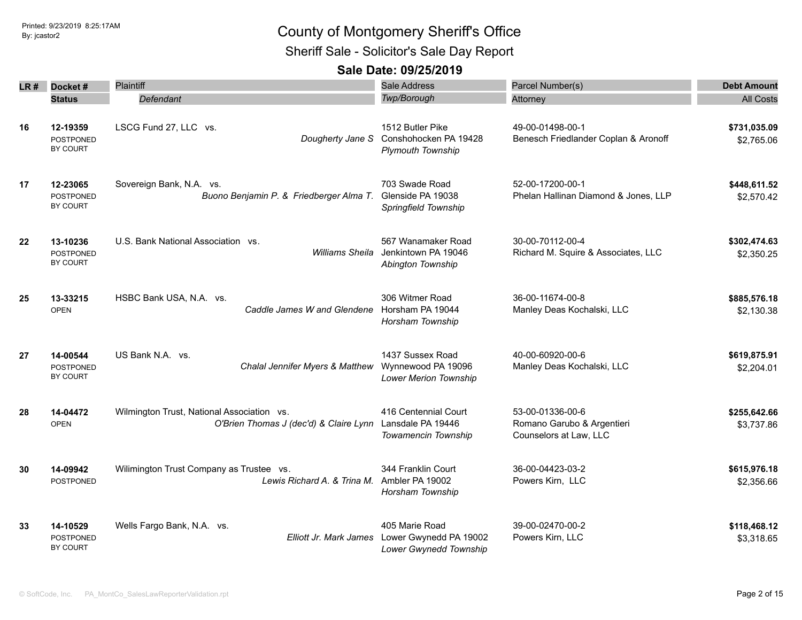Sheriff Sale - Solicitor's Sale Day Report

| LR # | Docket #                                 | Plaintiff                                                                               | Sale Address                                                           | Parcel Number(s)                                                         | <b>Debt Amount</b>         |
|------|------------------------------------------|-----------------------------------------------------------------------------------------|------------------------------------------------------------------------|--------------------------------------------------------------------------|----------------------------|
|      | <b>Status</b>                            | Defendant                                                                               | Twp/Borough                                                            | Attorney                                                                 | <b>All Costs</b>           |
| 16   | 12-19359<br><b>POSTPONED</b><br>BY COURT | LSCG Fund 27, LLC vs.<br>Dougherty Jane S                                               | 1512 Butler Pike<br>Conshohocken PA 19428<br><b>Plymouth Township</b>  | 49-00-01498-00-1<br>Benesch Friedlander Coplan & Aronoff                 | \$731,035.09<br>\$2,765.06 |
| 17   | 12-23065<br><b>POSTPONED</b><br>BY COURT | Sovereign Bank, N.A. vs.<br>Buono Benjamin P. & Friedberger Alma T.                     | 703 Swade Road<br>Glenside PA 19038<br>Springfield Township            | 52-00-17200-00-1<br>Phelan Hallinan Diamond & Jones, LLP                 | \$448,611.52<br>\$2,570.42 |
| 22   | 13-10236<br><b>POSTPONED</b><br>BY COURT | U.S. Bank National Association vs.<br><b>Williams Sheila</b>                            | 567 Wanamaker Road<br>Jenkintown PA 19046<br>Abington Township         | 30-00-70112-00-4<br>Richard M. Squire & Associates, LLC                  | \$302,474.63<br>\$2,350.25 |
| 25   | 13-33215<br><b>OPEN</b>                  | HSBC Bank USA, N.A. vs.<br>Caddle James W and Glendene                                  | 306 Witmer Road<br>Horsham PA 19044<br>Horsham Township                | 36-00-11674-00-8<br>Manley Deas Kochalski, LLC                           | \$885,576.18<br>\$2,130.38 |
| 27   | 14-00544<br>POSTPONED<br>BY COURT        | US Bank N.A. vs.<br>Chalal Jennifer Myers & Matthew                                     | 1437 Sussex Road<br>Wynnewood PA 19096<br><b>Lower Merion Township</b> | 40-00-60920-00-6<br>Manley Deas Kochalski, LLC                           | \$619,875.91<br>\$2,204.01 |
| 28   | 14-04472<br><b>OPEN</b>                  | Wilmington Trust, National Association vs.<br>O'Brien Thomas J (dec'd) & Claire Lynn    | 416 Centennial Court<br>Lansdale PA 19446<br>Towamencin Township       | 53-00-01336-00-6<br>Romano Garubo & Argentieri<br>Counselors at Law, LLC | \$255,642.66<br>\$3,737.86 |
| 30   | 14-09942<br>POSTPONED                    | Wilimington Trust Company as Trustee vs.<br>Lewis Richard A, & Trina M, Ambler PA 19002 | 344 Franklin Court<br>Horsham Township                                 | 36-00-04423-03-2<br>Powers Kirn, LLC                                     | \$615,976.18<br>\$2,356.66 |
| 33   | 14-10529<br><b>POSTPONED</b><br>BY COURT | Wells Fargo Bank, N.A. vs.<br>Elliott Jr. Mark James                                    | 405 Marie Road<br>Lower Gwynedd PA 19002<br>Lower Gwynedd Township     | 39-00-02470-00-2<br>Powers Kirn, LLC                                     | \$118,468.12<br>\$3,318.65 |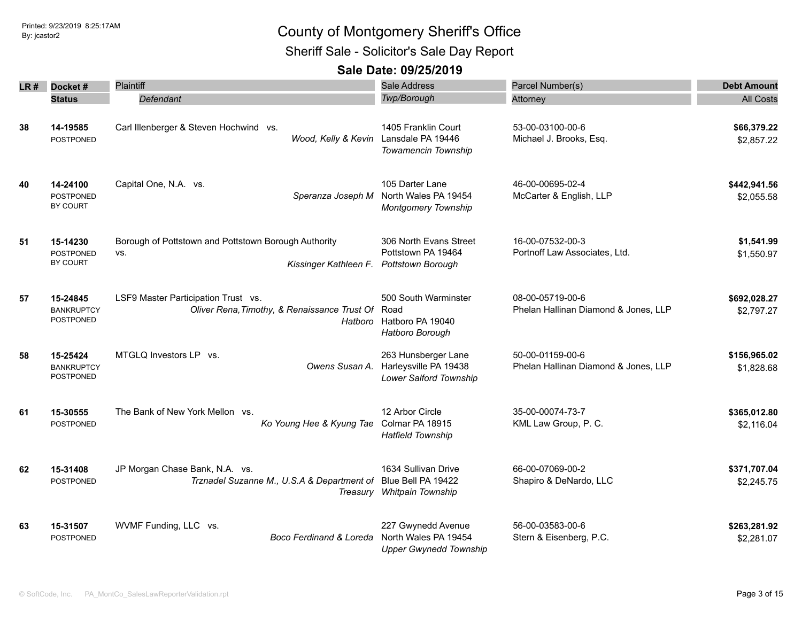Sheriff Sale - Solicitor's Sale Day Report

| LR # | Docket#<br><b>Status</b>                   | Plaintiff<br>Defendant                                                                   | <b>Sale Address</b><br><b>Twp/Borough</b>                                   | Parcel Number(s)<br>Attorney                             | <b>Debt Amount</b><br><b>All Costs</b> |
|------|--------------------------------------------|------------------------------------------------------------------------------------------|-----------------------------------------------------------------------------|----------------------------------------------------------|----------------------------------------|
| 38   | 14-19585<br><b>POSTPONED</b>               | Carl Illenberger & Steven Hochwind vs.<br>Wood, Kelly & Kevin                            | 1405 Franklin Court<br>Lansdale PA 19446<br>Towamencin Township             | 53-00-03100-00-6<br>Michael J. Brooks, Esq.              | \$66,379.22<br>\$2,857.22              |
| 40   | 14-24100<br><b>POSTPONED</b><br>BY COURT   | Capital One, N.A. vs.<br>Speranza Joseph M                                               | 105 Darter Lane<br>North Wales PA 19454<br><b>Montgomery Township</b>       | 46-00-00695-02-4<br>McCarter & English, LLP              | \$442,941.56<br>\$2,055.58             |
| 51   | 15-14230<br><b>POSTPONED</b><br>BY COURT   | Borough of Pottstown and Pottstown Borough Authority<br>VS.<br>Kissinger Kathleen F.     | 306 North Evans Street<br>Pottstown PA 19464<br><b>Pottstown Borough</b>    | 16-00-07532-00-3<br>Portnoff Law Associates, Ltd.        | \$1,541.99<br>\$1,550.97               |
| 57   | 15-24845<br><b>BANKRUPTCY</b><br>POSTPONED | LSF9 Master Participation Trust vs.<br>Oliver Rena, Timothy, & Renaissance Trust Of Road | 500 South Warminster<br>Hatboro Hatboro PA 19040<br>Hatboro Borough         | 08-00-05719-00-6<br>Phelan Hallinan Diamond & Jones, LLP | \$692,028.27<br>\$2,797.27             |
| 58   | 15-25424<br><b>BANKRUPTCY</b><br>POSTPONED | MTGLQ Investors LP vs.<br>Owens Susan A.                                                 | 263 Hunsberger Lane<br>Harleysville PA 19438<br>Lower Salford Township      | 50-00-01159-00-6<br>Phelan Hallinan Diamond & Jones, LLP | \$156,965.02<br>\$1,828.68             |
| 61   | 15-30555<br>POSTPONED                      | The Bank of New York Mellon vs.<br>Ko Young Hee & Kyung Tae                              | 12 Arbor Circle<br>Colmar PA 18915<br><b>Hatfield Township</b>              | 35-00-00074-73-7<br>KML Law Group, P. C.                 | \$365,012.80<br>\$2,116.04             |
| 62   | 15-31408<br><b>POSTPONED</b>               | JP Morgan Chase Bank, N.A. vs.<br>Trznadel Suzanne M., U.S.A & Department of             | 1634 Sullivan Drive<br>Blue Bell PA 19422<br>Treasury Whitpain Township     | 66-00-07069-00-2<br>Shapiro & DeNardo, LLC               | \$371,707.04<br>\$2,245.75             |
| 63   | 15-31507<br>POSTPONED                      | WVMF Funding, LLC vs.<br>Boco Ferdinand & Loreda                                         | 227 Gwynedd Avenue<br>North Wales PA 19454<br><b>Upper Gwynedd Township</b> | 56-00-03583-00-6<br>Stern & Eisenberg, P.C.              | \$263,281.92<br>\$2,281.07             |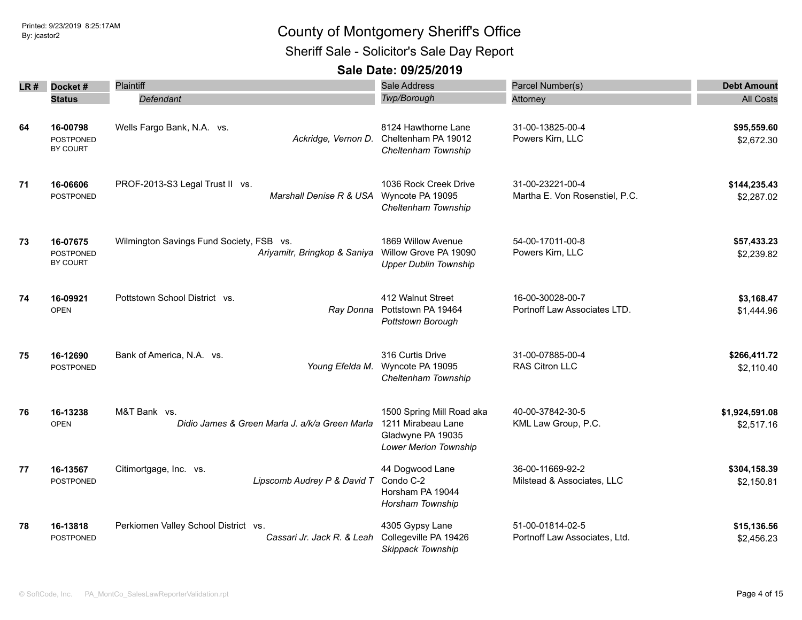Sheriff Sale - Solicitor's Sale Day Report

| LR # | Docket#                                  | Plaintiff                                                                | Sale Address                                                                                  | Parcel Number(s)                                   | <b>Debt Amount</b>           |
|------|------------------------------------------|--------------------------------------------------------------------------|-----------------------------------------------------------------------------------------------|----------------------------------------------------|------------------------------|
|      | <b>Status</b>                            | Defendant                                                                | Twp/Borough                                                                                   | Attorney                                           | <b>All Costs</b>             |
| 64   | 16-00798<br><b>POSTPONED</b><br>BY COURT | Wells Fargo Bank, N.A. vs.<br>Ackridge, Vernon D.                        | 8124 Hawthorne Lane<br>Cheltenham PA 19012<br>Cheltenham Township                             | 31-00-13825-00-4<br>Powers Kirn, LLC               | \$95,559.60<br>\$2,672.30    |
| 71   | 16-06606<br><b>POSTPONED</b>             | PROF-2013-S3 Legal Trust II vs.<br>Marshall Denise R & USA               | 1036 Rock Creek Drive<br>Wyncote PA 19095<br>Cheltenham Township                              | 31-00-23221-00-4<br>Martha E. Von Rosenstiel, P.C. | \$144,235.43<br>\$2,287.02   |
| 73   | 16-07675<br><b>POSTPONED</b><br>BY COURT | Wilmington Savings Fund Society, FSB vs.<br>Ariyamitr, Bringkop & Saniya | 1869 Willow Avenue<br>Willow Grove PA 19090<br><b>Upper Dublin Township</b>                   | 54-00-17011-00-8<br>Powers Kirn, LLC               | \$57,433.23<br>\$2,239.82    |
| 74   | 16-09921<br><b>OPEN</b>                  | Pottstown School District vs.<br>Ray Donna                               | 412 Walnut Street<br>Pottstown PA 19464<br>Pottstown Borough                                  | 16-00-30028-00-7<br>Portnoff Law Associates LTD.   | \$3,168.47<br>\$1,444.96     |
| 75   | 16-12690<br><b>POSTPONED</b>             | Bank of America, N.A. vs.<br>Young Efelda M.                             | 316 Curtis Drive<br>Wyncote PA 19095<br>Cheltenham Township                                   | 31-00-07885-00-4<br><b>RAS Citron LLC</b>          | \$266,411.72<br>\$2,110.40   |
| 76   | 16-13238<br><b>OPEN</b>                  | M&T Bank vs.<br>Didio James & Green Marla J. a/k/a Green Marla           | 1500 Spring Mill Road aka<br>1211 Mirabeau Lane<br>Gladwyne PA 19035<br>Lower Merion Township | 40-00-37842-30-5<br>KML Law Group, P.C.            | \$1,924,591.08<br>\$2,517.16 |
| 77   | 16-13567<br>POSTPONED                    | Citimortgage, Inc. vs.<br>Lipscomb Audrey P & David T                    | 44 Dogwood Lane<br>Condo C-2<br>Horsham PA 19044<br>Horsham Township                          | 36-00-11669-92-2<br>Milstead & Associates, LLC     | \$304,158.39<br>\$2,150.81   |
| 78   | 16-13818<br><b>POSTPONED</b>             | Perkiomen Valley School District vs.<br>Cassari Jr. Jack R. & Leah       | 4305 Gypsy Lane<br>Collegeville PA 19426<br>Skippack Township                                 | 51-00-01814-02-5<br>Portnoff Law Associates, Ltd.  | \$15,136.56<br>\$2,456.23    |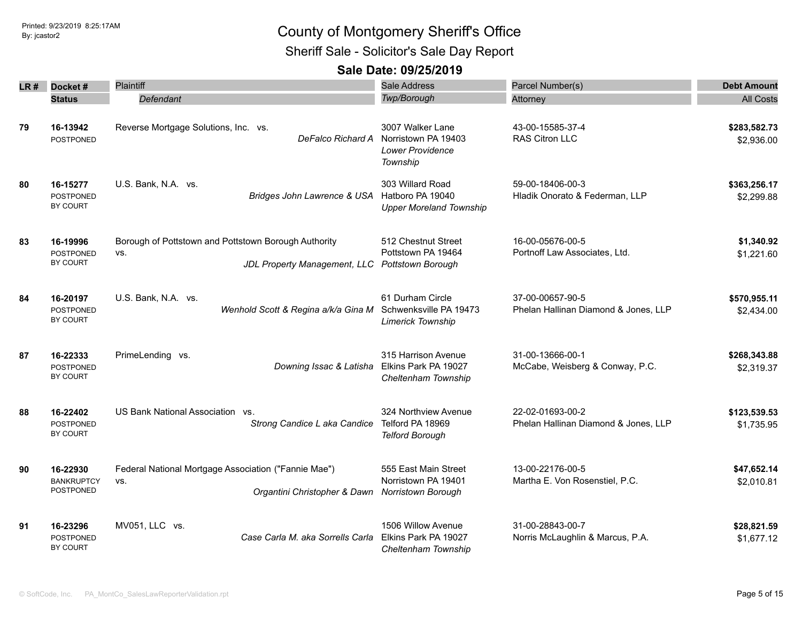Sheriff Sale - Solicitor's Sale Day Report

| LR # | Docket#                                    | Plaintiff                                                                                   | <b>Sale Address</b>                                                     | Parcel Number(s)                                         | <b>Debt Amount</b>         |
|------|--------------------------------------------|---------------------------------------------------------------------------------------------|-------------------------------------------------------------------------|----------------------------------------------------------|----------------------------|
|      | <b>Status</b>                              | Defendant                                                                                   | <b>Twp/Borough</b>                                                      | Attorney                                                 | <b>All Costs</b>           |
| 79   | 16-13942<br><b>POSTPONED</b>               | Reverse Mortgage Solutions, Inc. vs.<br>DeFalco Richard A                                   | 3007 Walker Lane<br>Norristown PA 19403<br>Lower Providence<br>Township | 43-00-15585-37-4<br>RAS Citron LLC                       | \$283,582.73<br>\$2,936.00 |
| 80   | 16-15277<br><b>POSTPONED</b><br>BY COURT   | U.S. Bank, N.A. vs.<br>Bridges John Lawrence & USA                                          | 303 Willard Road<br>Hatboro PA 19040<br><b>Upper Moreland Township</b>  | 59-00-18406-00-3<br>Hladik Onorato & Federman, LLP       | \$363,256.17<br>\$2,299.88 |
| 83   | 16-19996<br><b>POSTPONED</b><br>BY COURT   | Borough of Pottstown and Pottstown Borough Authority<br>VS.<br>JDL Property Management, LLC | 512 Chestnut Street<br>Pottstown PA 19464<br>Pottstown Borough          | 16-00-05676-00-5<br>Portnoff Law Associates, Ltd.        | \$1,340.92<br>\$1,221.60   |
| 84   | 16-20197<br><b>POSTPONED</b><br>BY COURT   | U.S. Bank, N.A. vs.<br>Wenhold Scott & Regina a/k/a Gina M                                  | 61 Durham Circle<br>Schwenksville PA 19473<br><b>Limerick Township</b>  | 37-00-00657-90-5<br>Phelan Hallinan Diamond & Jones, LLP | \$570,955.11<br>\$2,434.00 |
| 87   | 16-22333<br>POSTPONED<br><b>BY COURT</b>   | PrimeLending vs.<br>Downing Issac & Latisha                                                 | 315 Harrison Avenue<br>Elkins Park PA 19027<br>Cheltenham Township      | 31-00-13666-00-1<br>McCabe, Weisberg & Conway, P.C.      | \$268,343.88<br>\$2,319.37 |
| 88   | 16-22402<br><b>POSTPONED</b><br>BY COURT   | US Bank National Association vs.<br>Strong Candice L aka Candice                            | 324 Northview Avenue<br>Telford PA 18969<br><b>Telford Borough</b>      | 22-02-01693-00-2<br>Phelan Hallinan Diamond & Jones, LLP | \$123,539.53<br>\$1,735.95 |
| 90   | 16-22930<br><b>BANKRUPTCY</b><br>POSTPONED | Federal National Mortgage Association ("Fannie Mae")<br>VS.<br>Organtini Christopher & Dawn | 555 East Main Street<br>Norristown PA 19401<br>Norristown Borough       | 13-00-22176-00-5<br>Martha E. Von Rosenstiel, P.C.       | \$47,652.14<br>\$2,010.81  |
| 91   | 16-23296<br><b>POSTPONED</b><br>BY COURT   | MV051, LLC vs.<br>Case Carla M. aka Sorrells Carla                                          | 1506 Willow Avenue<br>Elkins Park PA 19027<br>Cheltenham Township       | 31-00-28843-00-7<br>Norris McLaughlin & Marcus, P.A.     | \$28,821.59<br>\$1,677.12  |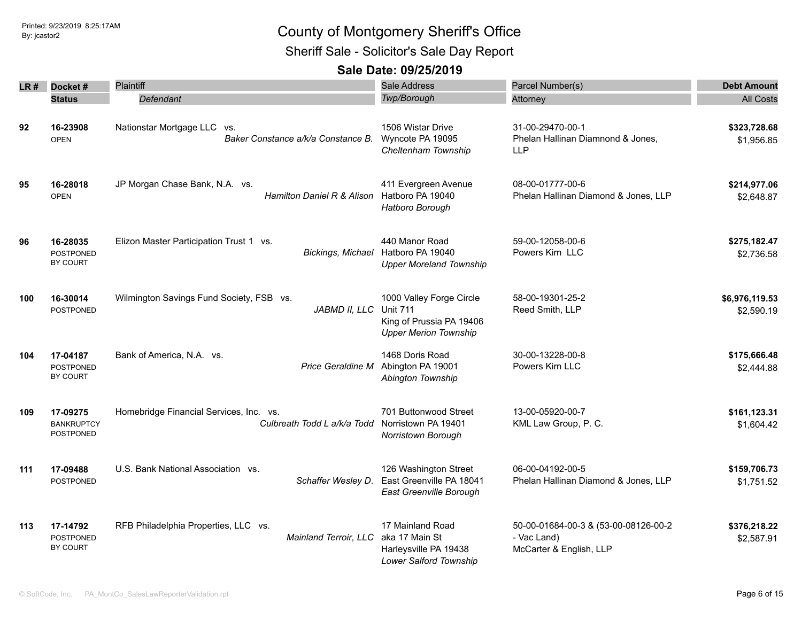Sheriff Sale - Solicitor's Sale Day Report

| LR # | Docket#<br><b>Status</b>                        | <b>Plaintiff</b><br>Defendant                                           | Sale Address<br>Twp/Borough                                                                             | Parcel Number(s)<br>Attorney                                                   | <b>Debt Amount</b><br><b>All Costs</b> |
|------|-------------------------------------------------|-------------------------------------------------------------------------|---------------------------------------------------------------------------------------------------------|--------------------------------------------------------------------------------|----------------------------------------|
| 92   | 16-23908<br><b>OPEN</b>                         | Nationstar Mortgage LLC vs.<br>Baker Constance a/k/a Constance B.       | 1506 Wistar Drive<br>Wyncote PA 19095<br>Cheltenham Township                                            | 31-00-29470-00-1<br>Phelan Hallinan Diamnond & Jones,<br><b>LLP</b>            | \$323,728.68<br>\$1,956.85             |
| 95   | 16-28018<br><b>OPEN</b>                         | JP Morgan Chase Bank, N.A. vs.<br><b>Hamilton Daniel R &amp; Alison</b> | 411 Evergreen Avenue<br>Hatboro PA 19040<br>Hatboro Borough                                             | 08-00-01777-00-6<br>Phelan Hallinan Diamond & Jones, LLP                       | \$214,977.06<br>\$2,648.87             |
| 96   | 16-28035<br><b>POSTPONED</b><br>BY COURT        | Elizon Master Participation Trust 1 vs.<br>Bickings, Michael            | 440 Manor Road<br>Hatboro PA 19040<br><b>Upper Moreland Township</b>                                    | 59-00-12058-00-6<br>Powers Kirn LLC                                            | \$275,182.47<br>\$2,736.58             |
| 100  | 16-30014<br><b>POSTPONED</b>                    | Wilmington Savings Fund Society, FSB vs.<br>JABMD II, LLC               | 1000 Valley Forge Circle<br><b>Unit 711</b><br>King of Prussia PA 19406<br><b>Upper Merion Township</b> | 58-00-19301-25-2<br>Reed Smith, LLP                                            | \$6,976,119.53<br>\$2,590.19           |
| 104  | 17-04187<br><b>POSTPONED</b><br><b>BY COURT</b> | Bank of America, N.A. vs.<br>Price Geraldine M                          | 1468 Doris Road<br>Abington PA 19001<br>Abington Township                                               | 30-00-13228-00-8<br>Powers Kirn LLC                                            | \$175,666.48<br>\$2,444.88             |
| 109  | 17-09275<br><b>BANKRUPTCY</b><br>POSTPONED      | Homebridge Financial Services, Inc. vs.<br>Culbreath Todd L a/k/a Todd  | 701 Buttonwood Street<br>Norristown PA 19401<br>Norristown Borough                                      | 13-00-05920-00-7<br>KML Law Group, P. C.                                       | \$161,123.31<br>\$1,604.42             |
| 111  | 17-09488<br><b>POSTPONED</b>                    | U.S. Bank National Association vs.<br>Schaffer Wesley D.                | 126 Washington Street<br>East Greenville PA 18041<br>East Greenville Borough                            | 06-00-04192-00-5<br>Phelan Hallinan Diamond & Jones, LLP                       | \$159,706.73<br>\$1,751.52             |
| 113  | 17-14792<br><b>POSTPONED</b><br><b>BY COURT</b> | RFB Philadelphia Properties, LLC vs.<br>Mainland Terroir, LLC           | 17 Mainland Road<br>aka 17 Main St<br>Harleysville PA 19438<br>Lower Salford Township                   | 50-00-01684-00-3 & (53-00-08126-00-2<br>- Vac Land)<br>McCarter & English, LLP | \$376,218.22<br>\$2,587.91             |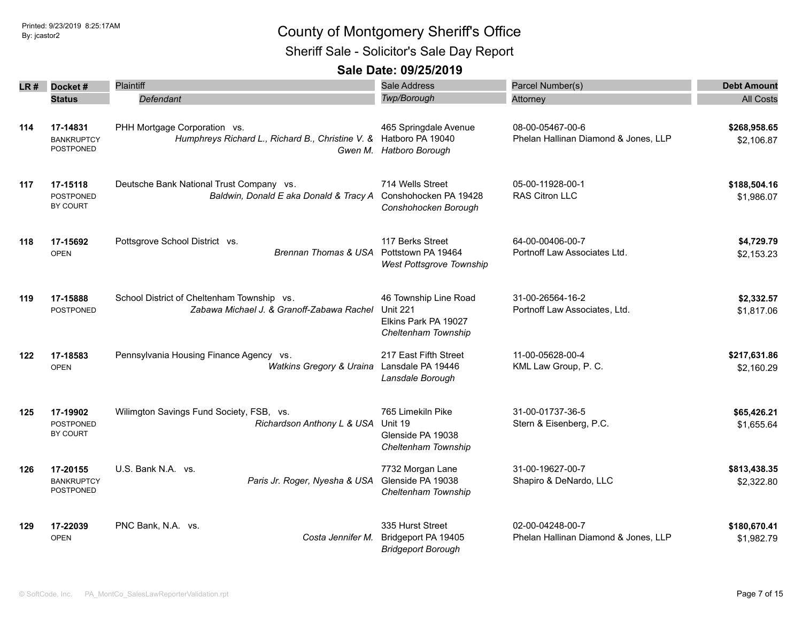Sheriff Sale - Solicitor's Sale Day Report

|     | $LR#$ Docket#                         | Plaintiff                                                         | Sale Address                                                   | Parcel Number(s)                     | <b>Debt Amount</b> |
|-----|---------------------------------------|-------------------------------------------------------------------|----------------------------------------------------------------|--------------------------------------|--------------------|
|     | <b>Status</b>                         | Defendant                                                         | Twp/Borough                                                    | Attorney                             | <b>All Costs</b>   |
|     |                                       |                                                                   |                                                                |                                      |                    |
| 114 | 17-14831                              | PHH Mortgage Corporation vs.                                      | 465 Springdale Avenue                                          | 08-00-05467-00-6                     | \$268,958.65       |
|     | <b>BANKRUPTCY</b><br><b>POSTPONED</b> | Humphreys Richard L., Richard B., Christine V. & Hatboro PA 19040 | Gwen M. Hatboro Borough                                        | Phelan Hallinan Diamond & Jones, LLP | \$2,106.87         |
| 117 | 17-15118                              | Deutsche Bank National Trust Company vs.                          | 714 Wells Street                                               | 05-00-11928-00-1                     | \$188,504.16       |
|     | <b>POSTPONED</b><br>BY COURT          | Baldwin, Donald E aka Donald & Tracy A                            | Conshohocken PA 19428<br>Conshohocken Borough                  | RAS Citron LLC                       | \$1,986.07         |
| 118 | 17-15692                              | Pottsgrove School District vs.                                    | 117 Berks Street                                               | 64-00-00406-00-7                     | \$4,729.79         |
|     | <b>OPEN</b>                           | <b>Brennan Thomas &amp; USA</b>                                   | Pottstown PA 19464<br>West Pottsgrove Township                 | Portnoff Law Associates Ltd.         | \$2,153.23         |
| 119 | 17-15888                              | School District of Cheltenham Township vs.                        | 46 Township Line Road                                          | 31-00-26564-16-2                     | \$2,332.57         |
|     | <b>POSTPONED</b>                      | Zabawa Michael J. & Granoff-Zabawa Rachel                         | <b>Unit 221</b><br>Elkins Park PA 19027<br>Cheltenham Township | Portnoff Law Associates, Ltd.        | \$1,817.06         |
| 122 | 17-18583                              | Pennsylvania Housing Finance Agency vs.                           | 217 East Fifth Street                                          | 11-00-05628-00-4                     | \$217,631.86       |
|     | <b>OPEN</b>                           | Watkins Gregory & Uraina                                          | Lansdale PA 19446<br>Lansdale Borough                          | KML Law Group, P. C.                 | \$2,160.29         |
| 125 | 17-19902                              | Wilimgton Savings Fund Society, FSB, vs.                          | 765 Limekiln Pike                                              | 31-00-01737-36-5                     | \$65,426.21        |
|     | <b>POSTPONED</b><br><b>BY COURT</b>   | Richardson Anthony L & USA                                        | Unit 19<br>Glenside PA 19038<br>Cheltenham Township            | Stern & Eisenberg, P.C.              | \$1,655.64         |
| 126 | 17-20155                              | U.S. Bank N.A. vs.                                                | 7732 Morgan Lane                                               | 31-00-19627-00-7                     | \$813,438.35       |
|     | <b>BANKRUPTCY</b><br>POSTPONED        | Paris Jr. Roger, Nyesha & USA                                     | Glenside PA 19038<br>Cheltenham Township                       | Shapiro & DeNardo, LLC               | \$2,322.80         |
| 129 | 17-22039                              | PNC Bank, N.A. vs.                                                | 335 Hurst Street                                               | 02-00-04248-00-7                     | \$180,670.41       |
|     | <b>OPEN</b>                           | Costa Jennifer M.                                                 | Bridgeport PA 19405<br><b>Bridgeport Borough</b>               | Phelan Hallinan Diamond & Jones, LLP | \$1,982.79         |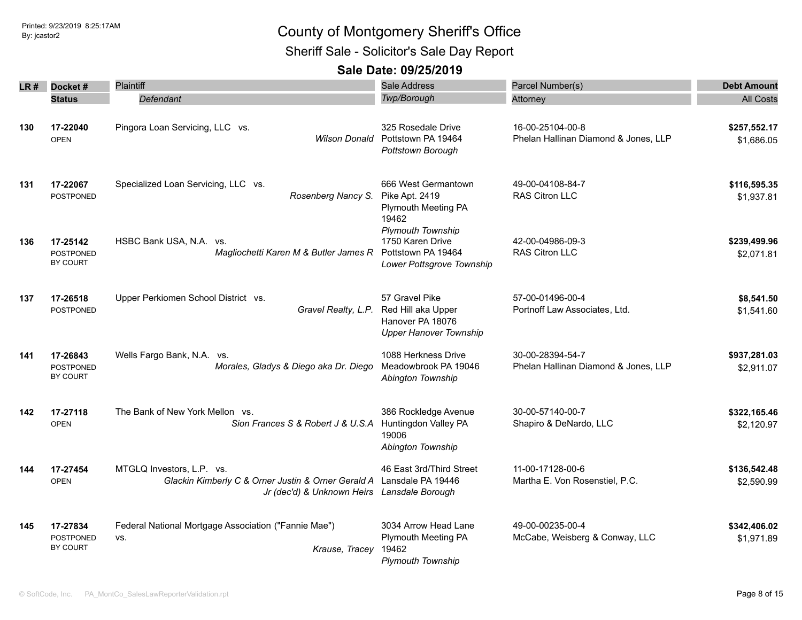Sheriff Sale - Solicitor's Sale Day Report

| LR # | Docket#                                  | Plaintiff                                                                                                                                        | Sale Address                                                                                                  | Parcel Number(s)                                         | <b>Debt Amount</b>         |
|------|------------------------------------------|--------------------------------------------------------------------------------------------------------------------------------------------------|---------------------------------------------------------------------------------------------------------------|----------------------------------------------------------|----------------------------|
|      | <b>Status</b>                            | <b>Defendant</b>                                                                                                                                 | Twp/Borough                                                                                                   | Attorney                                                 | <b>All Costs</b>           |
| 130  | 17-22040<br><b>OPEN</b>                  | Pingora Loan Servicing, LLC vs.<br>Wilson Donald                                                                                                 | 325 Rosedale Drive<br>Pottstown PA 19464<br>Pottstown Borough                                                 | 16-00-25104-00-8<br>Phelan Hallinan Diamond & Jones, LLP | \$257,552.17<br>\$1,686.05 |
| 131  | 17-22067<br><b>POSTPONED</b>             | Specialized Loan Servicing, LLC vs.<br>Rosenberg Nancy S.                                                                                        | 666 West Germantown<br>Pike Apt. 2419<br>Plymouth Meeting PA<br>19462                                         | 49-00-04108-84-7<br>RAS Citron LLC                       | \$116,595.35<br>\$1,937.81 |
| 136  | 17-25142<br><b>POSTPONED</b><br>BY COURT | HSBC Bank USA, N.A. vs.<br>Magliochetti Karen M & Butler James R                                                                                 | <b>Plymouth Township</b><br>1750 Karen Drive<br>Pottstown PA 19464<br>Lower Pottsgrove Township               | 42-00-04986-09-3<br>RAS Citron LLC                       | \$239,499.96<br>\$2,071.81 |
| 137  | 17-26518<br><b>POSTPONED</b>             | Upper Perkiomen School District vs.                                                                                                              | 57 Gravel Pike<br>Gravel Realty, L.P. Red Hill aka Upper<br>Hanover PA 18076<br><b>Upper Hanover Township</b> | 57-00-01496-00-4<br>Portnoff Law Associates, Ltd.        | \$8,541.50<br>\$1,541.60   |
| 141  | 17-26843<br><b>POSTPONED</b><br>BY COURT | Wells Fargo Bank, N.A. vs.<br>Morales, Gladys & Diego aka Dr. Diego                                                                              | 1088 Herkness Drive<br>Meadowbrook PA 19046<br>Abington Township                                              | 30-00-28394-54-7<br>Phelan Hallinan Diamond & Jones, LLP | \$937,281.03<br>\$2,911.07 |
| 142  | 17-27118<br><b>OPEN</b>                  | The Bank of New York Mellon vs.<br>Sion Frances S & Robert J & U.S.A                                                                             | 386 Rockledge Avenue<br>Huntingdon Valley PA<br>19006<br>Abington Township                                    | 30-00-57140-00-7<br>Shapiro & DeNardo, LLC               | \$322,165.46<br>\$2,120.97 |
| 144  | 17-27454<br><b>OPEN</b>                  | MTGLQ Investors, L.P. vs.<br>Glackin Kimberly C & Orner Justin & Orner Gerald A Lansdale PA 19446<br>Jr (dec'd) & Unknown Heirs Lansdale Borough | 46 East 3rd/Third Street                                                                                      | 11-00-17128-00-6<br>Martha E. Von Rosenstiel, P.C.       | \$136,542.48<br>\$2,590.99 |
| 145  | 17-27834<br><b>POSTPONED</b><br>BY COURT | Federal National Mortgage Association ("Fannie Mae")<br>VS.<br>Krause, Tracey                                                                    | 3034 Arrow Head Lane<br>Plymouth Meeting PA<br>19462<br><b>Plymouth Township</b>                              | 49-00-00235-00-4<br>McCabe, Weisberg & Conway, LLC       | \$342,406.02<br>\$1,971.89 |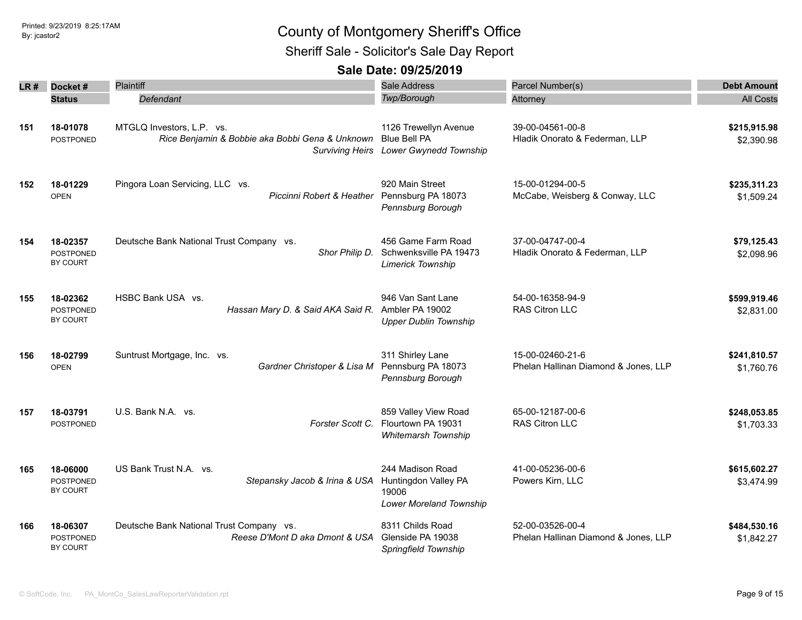Sheriff Sale - Solicitor's Sale Day Report

| LR # | Docket#                                         | Plaintiff                                                                    | Sale Address                                                                           | Parcel Number(s)                                         | <b>Debt Amount</b>         |
|------|-------------------------------------------------|------------------------------------------------------------------------------|----------------------------------------------------------------------------------------|----------------------------------------------------------|----------------------------|
|      | <b>Status</b>                                   | Defendant                                                                    | Twp/Borough                                                                            | Attorney                                                 | <b>All Costs</b>           |
| 151  | 18-01078<br>POSTPONED                           | MTGLQ Investors, L.P. vs.<br>Rice Benjamin & Bobbie aka Bobbi Gena & Unknown | 1126 Trewellyn Avenue<br><b>Blue Bell PA</b><br>Surviving Heirs Lower Gwynedd Township | 39-00-04561-00-8<br>Hladik Onorato & Federman, LLP       | \$215,915.98<br>\$2,390.98 |
| 152  | 18-01229<br><b>OPEN</b>                         | Pingora Loan Servicing, LLC vs.<br>Piccinni Robert & Heather                 | 920 Main Street<br>Pennsburg PA 18073<br>Pennsburg Borough                             | 15-00-01294-00-5<br>McCabe, Weisberg & Conway, LLC       | \$235,311.23<br>\$1,509.24 |
| 154  | 18-02357<br><b>POSTPONED</b><br><b>BY COURT</b> | Deutsche Bank National Trust Company vs.<br>Shor Philip D.                   | 456 Game Farm Road<br>Schwenksville PA 19473<br><b>Limerick Township</b>               | 37-00-04747-00-4<br>Hladik Onorato & Federman, LLP       | \$79,125.43<br>\$2,098.96  |
| 155  | 18-02362<br><b>POSTPONED</b><br>BY COURT        | HSBC Bank USA vs.<br>Hassan Mary D. & Said AKA Said R. Ambler PA 19002       | 946 Van Sant Lane<br><b>Upper Dublin Township</b>                                      | 54-00-16358-94-9<br>RAS Citron LLC                       | \$599,919.46<br>\$2,831.00 |
| 156  | 18-02799<br><b>OPEN</b>                         | Suntrust Mortgage, Inc. vs.<br>Gardner Christoper & Lisa M                   | 311 Shirley Lane<br>Pennsburg PA 18073<br>Pennsburg Borough                            | 15-00-02460-21-6<br>Phelan Hallinan Diamond & Jones, LLP | \$241,810.57<br>\$1,760.76 |
| 157  | 18-03791<br><b>POSTPONED</b>                    | U.S. Bank N.A. vs.<br>Forster Scott C.                                       | 859 Valley View Road<br>Flourtown PA 19031<br>Whitemarsh Township                      | 65-00-12187-00-6<br>RAS Citron LLC                       | \$248,053.85<br>\$1,703.33 |
| 165  | 18-06000<br><b>POSTPONED</b><br>BY COURT        | US Bank Trust N.A. vs.<br>Stepansky Jacob & Irina & USA                      | 244 Madison Road<br>Huntingdon Valley PA<br>19006<br>Lower Moreland Township           | 41-00-05236-00-6<br>Powers Kirn, LLC                     | \$615,602.27<br>\$3,474.99 |
| 166  | 18-06307<br>POSTPONED<br>BY COURT               | Deutsche Bank National Trust Company vs.<br>Reese D'Mont D aka Dmont & USA   | 8311 Childs Road<br>Glenside PA 19038<br>Springfield Township                          | 52-00-03526-00-4<br>Phelan Hallinan Diamond & Jones, LLP | \$484,530.16<br>\$1,842.27 |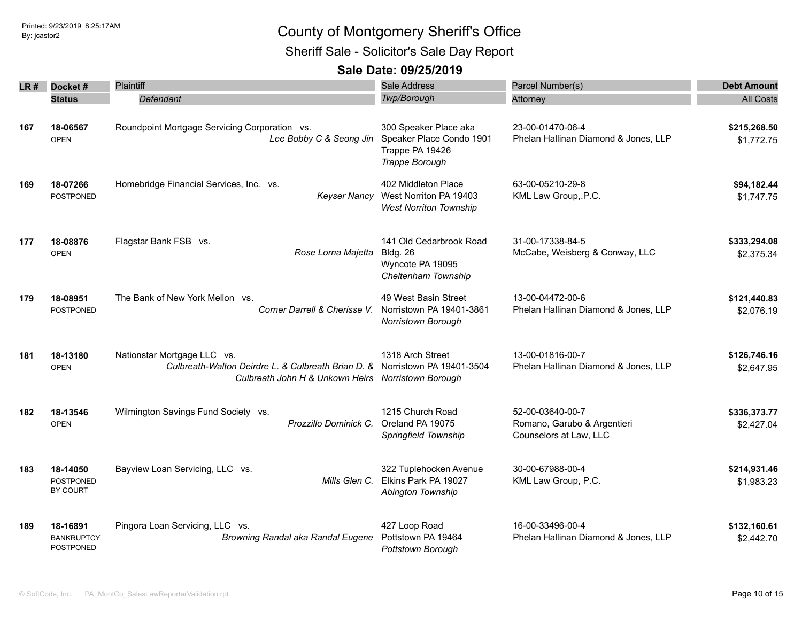Sheriff Sale - Solicitor's Sale Day Report

| LR # | Docket #          | Plaintiff                                                                   | Sale Address                  | Parcel Number(s)                     | <b>Debt Amount</b> |
|------|-------------------|-----------------------------------------------------------------------------|-------------------------------|--------------------------------------|--------------------|
|      | <b>Status</b>     | Defendant                                                                   | Twp/Borough                   | Attorney                             | <b>All Costs</b>   |
|      |                   |                                                                             |                               |                                      |                    |
| 167  | 18-06567          | Roundpoint Mortgage Servicing Corporation vs.                               | 300 Speaker Place aka         | 23-00-01470-06-4                     | \$215,268.50       |
|      | <b>OPEN</b>       | Lee Bobby C & Seong Jin                                                     | Speaker Place Condo 1901      | Phelan Hallinan Diamond & Jones, LLP | \$1,772.75         |
|      |                   |                                                                             | Trappe PA 19426               |                                      |                    |
|      |                   |                                                                             | Trappe Borough                |                                      |                    |
|      |                   |                                                                             |                               |                                      |                    |
| 169  | 18-07266          | Homebridge Financial Services, Inc. vs.                                     | 402 Middleton Place           | 63-00-05210-29-8                     | \$94,182.44        |
|      | <b>POSTPONED</b>  | Keyser Nancy                                                                | West Norriton PA 19403        | KML Law Group, P.C.                  | \$1,747.75         |
|      |                   |                                                                             | <b>West Norriton Township</b> |                                      |                    |
|      |                   |                                                                             |                               |                                      |                    |
| 177  | 18-08876          | Flagstar Bank FSB vs.                                                       | 141 Old Cedarbrook Road       | 31-00-17338-84-5                     | \$333,294.08       |
|      | <b>OPEN</b>       | Rose Lorna Majetta                                                          | <b>Bldg. 26</b>               | McCabe, Weisberg & Conway, LLC       | \$2,375.34         |
|      |                   |                                                                             | Wyncote PA 19095              |                                      |                    |
|      |                   |                                                                             | Cheltenham Township           |                                      |                    |
| 179  | 18-08951          | The Bank of New York Mellon vs.                                             | 49 West Basin Street          | 13-00-04472-00-6                     | \$121,440.83       |
|      | <b>POSTPONED</b>  | Corner Darrell & Cherisse V.                                                | Norristown PA 19401-3861      | Phelan Hallinan Diamond & Jones, LLP | \$2,076.19         |
|      |                   |                                                                             | Norristown Borough            |                                      |                    |
|      |                   |                                                                             |                               |                                      |                    |
| 181  | 18-13180          | Nationstar Mortgage LLC vs.                                                 | 1318 Arch Street              | 13-00-01816-00-7                     | \$126,746.16       |
|      | <b>OPEN</b>       | Culbreath-Walton Deirdre L. & Culbreath Brian D. & Norristown PA 19401-3504 |                               | Phelan Hallinan Diamond & Jones, LLP | \$2,647.95         |
|      |                   | Culbreath John H & Unkown Heirs Norristown Borough                          |                               |                                      |                    |
|      |                   |                                                                             |                               |                                      |                    |
| 182  | 18-13546          | Wilmington Savings Fund Society vs.                                         | 1215 Church Road              | 52-00-03640-00-7                     | \$336,373.77       |
|      | <b>OPEN</b>       | Prozzillo Dominick C.                                                       | Oreland PA 19075              | Romano, Garubo & Argentieri          | \$2,427.04         |
|      |                   |                                                                             | Springfield Township          | Counselors at Law, LLC               |                    |
|      |                   |                                                                             |                               |                                      |                    |
| 183  | 18-14050          | Bayview Loan Servicing, LLC vs.                                             | 322 Tuplehocken Avenue        | 30-00-67988-00-4                     | \$214,931.46       |
|      | <b>POSTPONED</b>  | Mills Glen C.                                                               | Elkins Park PA 19027          | KML Law Group, P.C.                  | \$1,983.23         |
|      | BY COURT          |                                                                             | Abington Township             |                                      |                    |
|      |                   |                                                                             |                               |                                      |                    |
| 189  | 18-16891          | Pingora Loan Servicing, LLC vs.                                             | 427 Loop Road                 | 16-00-33496-00-4                     | \$132,160.61       |
|      | <b>BANKRUPTCY</b> | Browning Randal aka Randal Eugene                                           | Pottstown PA 19464            | Phelan Hallinan Diamond & Jones, LLP | \$2,442.70         |
|      | POSTPONED         |                                                                             | Pottstown Borough             |                                      |                    |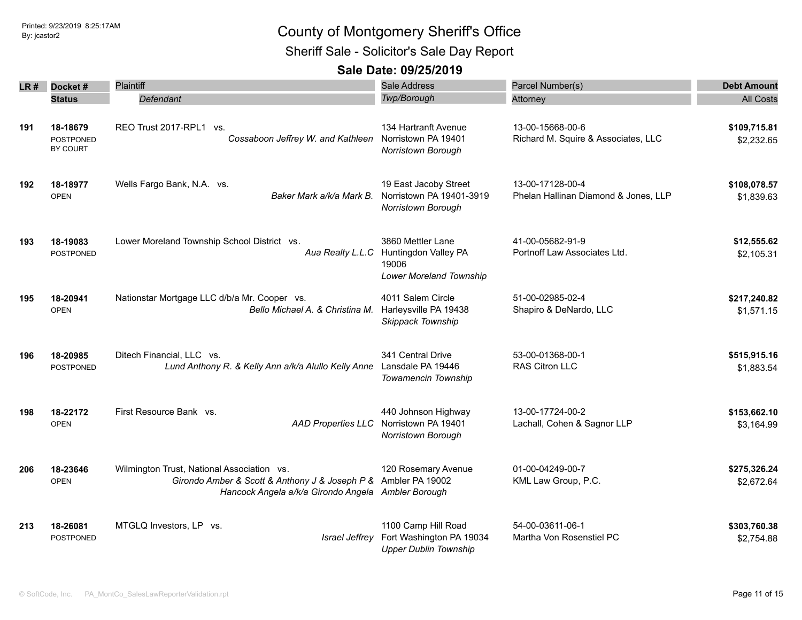Sheriff Sale - Solicitor's Sale Day Report

|      |                                          | <b>Plaintiff</b>                                                                                                                                                   | <b>Sale Address</b>                                                             |                                                          |                            |
|------|------------------------------------------|--------------------------------------------------------------------------------------------------------------------------------------------------------------------|---------------------------------------------------------------------------------|----------------------------------------------------------|----------------------------|
| LR # | Docket#                                  |                                                                                                                                                                    |                                                                                 | Parcel Number(s)                                         | <b>Debt Amount</b>         |
|      | <b>Status</b>                            | Defendant                                                                                                                                                          | Twp/Borough                                                                     | Attorney                                                 | <b>All Costs</b>           |
| 191  | 18-18679<br><b>POSTPONED</b><br>BY COURT | REO Trust 2017-RPL1 vs.<br>Cossaboon Jeffrey W. and Kathleen                                                                                                       | 134 Hartranft Avenue<br>Norristown PA 19401<br>Norristown Borough               | 13-00-15668-00-6<br>Richard M. Squire & Associates, LLC  | \$109,715.81<br>\$2,232.65 |
| 192  | 18-18977<br><b>OPEN</b>                  | Wells Fargo Bank, N.A. vs.<br>Baker Mark a/k/a Mark B.                                                                                                             | 19 East Jacoby Street<br>Norristown PA 19401-3919<br>Norristown Borough         | 13-00-17128-00-4<br>Phelan Hallinan Diamond & Jones, LLP | \$108,078.57<br>\$1,839.63 |
| 193  | 18-19083<br><b>POSTPONED</b>             | Lower Moreland Township School District vs.<br>Aua Realty L.L.C                                                                                                    | 3860 Mettler Lane<br>Huntingdon Valley PA<br>19006<br>Lower Moreland Township   | 41-00-05682-91-9<br>Portnoff Law Associates Ltd.         | \$12,555.62<br>\$2,105.31  |
| 195  | 18-20941<br><b>OPEN</b>                  | Nationstar Mortgage LLC d/b/a Mr. Cooper vs.<br>Bello Michael A. & Christina M.                                                                                    | 4011 Salem Circle<br>Harleysville PA 19438<br>Skippack Township                 | 51-00-02985-02-4<br>Shapiro & DeNardo, LLC               | \$217,240.82<br>\$1,571.15 |
| 196  | 18-20985<br><b>POSTPONED</b>             | Ditech Financial, LLC vs.<br>Lund Anthony R. & Kelly Ann a/k/a Alullo Kelly Anne                                                                                   | 341 Central Drive<br>Lansdale PA 19446<br>Towamencin Township                   | 53-00-01368-00-1<br><b>RAS Citron LLC</b>                | \$515,915.16<br>\$1,883.54 |
| 198  | 18-22172<br><b>OPEN</b>                  | First Resource Bank vs.<br><b>AAD Properties LLC</b>                                                                                                               | 440 Johnson Highway<br>Norristown PA 19401<br>Norristown Borough                | 13-00-17724-00-2<br>Lachall, Cohen & Sagnor LLP          | \$153,662.10<br>\$3,164.99 |
| 206  | 18-23646<br><b>OPEN</b>                  | Wilmington Trust, National Association vs.<br>Girondo Amber & Scott & Anthony J & Joseph P & Ambler PA 19002<br>Hancock Angela a/k/a Girondo Angela Ambler Borough | 120 Rosemary Avenue                                                             | 01-00-04249-00-7<br>KML Law Group, P.C.                  | \$275,326.24<br>\$2,672.64 |
| 213  | 18-26081<br>POSTPONED                    | MTGLQ Investors, LP vs.<br>Israel Jeffrey                                                                                                                          | 1100 Camp Hill Road<br>Fort Washington PA 19034<br><b>Upper Dublin Township</b> | 54-00-03611-06-1<br>Martha Von Rosenstiel PC             | \$303,760.38<br>\$2,754.88 |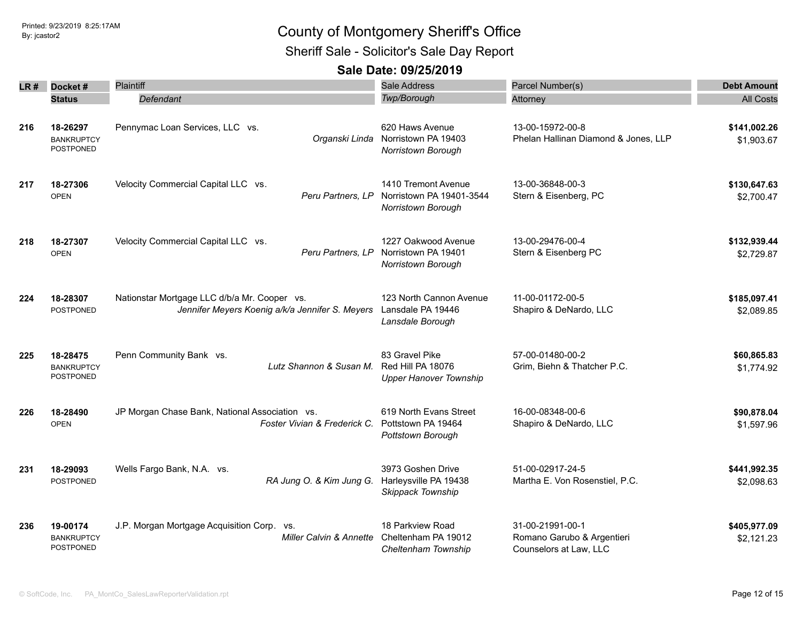Sheriff Sale - Solicitor's Sale Day Report

| LR # | Docket#                                    | Plaintiff                                                                                       | Sale Address                                                          | Parcel Number(s)                                                         | <b>Debt Amount</b>         |
|------|--------------------------------------------|-------------------------------------------------------------------------------------------------|-----------------------------------------------------------------------|--------------------------------------------------------------------------|----------------------------|
|      | <b>Status</b>                              | Defendant                                                                                       | Twp/Borough                                                           | Attorney                                                                 | <b>All Costs</b>           |
| 216  | 18-26297<br><b>BANKRUPTCY</b><br>POSTPONED | Pennymac Loan Services, LLC vs.<br>Organski Linda                                               | 620 Haws Avenue<br>Norristown PA 19403<br>Norristown Borough          | 13-00-15972-00-8<br>Phelan Hallinan Diamond & Jones, LLP                 | \$141,002.26<br>\$1,903.67 |
| 217  | 18-27306<br><b>OPEN</b>                    | Velocity Commercial Capital LLC vs.<br>Peru Partners, LP                                        | 1410 Tremont Avenue<br>Norristown PA 19401-3544<br>Norristown Borough | 13-00-36848-00-3<br>Stern & Eisenberg, PC                                | \$130,647.63<br>\$2,700.47 |
| 218  | 18-27307<br><b>OPEN</b>                    | Velocity Commercial Capital LLC vs.<br>Peru Partners, LP                                        | 1227 Oakwood Avenue<br>Norristown PA 19401<br>Norristown Borough      | 13-00-29476-00-4<br>Stern & Eisenberg PC                                 | \$132,939.44<br>\$2,729.87 |
| 224  | 18-28307<br><b>POSTPONED</b>               | Nationstar Mortgage LLC d/b/a Mr. Cooper vs.<br>Jennifer Meyers Koenig a/k/a Jennifer S. Meyers | 123 North Cannon Avenue<br>Lansdale PA 19446<br>Lansdale Borough      | 11-00-01172-00-5<br>Shapiro & DeNardo, LLC                               | \$185,097.41<br>\$2,089.85 |
| 225  | 18-28475<br><b>BANKRUPTCY</b><br>POSTPONED | Penn Community Bank vs.<br>Lutz Shannon & Susan M.                                              | 83 Gravel Pike<br>Red Hill PA 18076<br><b>Upper Hanover Township</b>  | 57-00-01480-00-2<br>Grim, Biehn & Thatcher P.C.                          | \$60,865.83<br>\$1,774.92  |
| 226  | 18-28490<br><b>OPEN</b>                    | JP Morgan Chase Bank, National Association vs.<br>Foster Vivian & Frederick C.                  | 619 North Evans Street<br>Pottstown PA 19464<br>Pottstown Borough     | 16-00-08348-00-6<br>Shapiro & DeNardo, LLC                               | \$90,878.04<br>\$1,597.96  |
| 231  | 18-29093<br><b>POSTPONED</b>               | Wells Fargo Bank, N.A. vs.<br>RA Jung O. & Kim Jung G. Harleysville PA 19438                    | 3973 Goshen Drive<br>Skippack Township                                | 51-00-02917-24-5<br>Martha E. Von Rosenstiel, P.C.                       | \$441,992.35<br>\$2,098.63 |
| 236  | 19-00174<br><b>BANKRUPTCY</b><br>POSTPONED | J.P. Morgan Mortgage Acquisition Corp. vs.<br><b>Miller Calvin &amp; Annette</b>                | 18 Parkview Road<br>Cheltenham PA 19012<br>Cheltenham Township        | 31-00-21991-00-1<br>Romano Garubo & Argentieri<br>Counselors at Law, LLC | \$405,977.09<br>\$2,121.23 |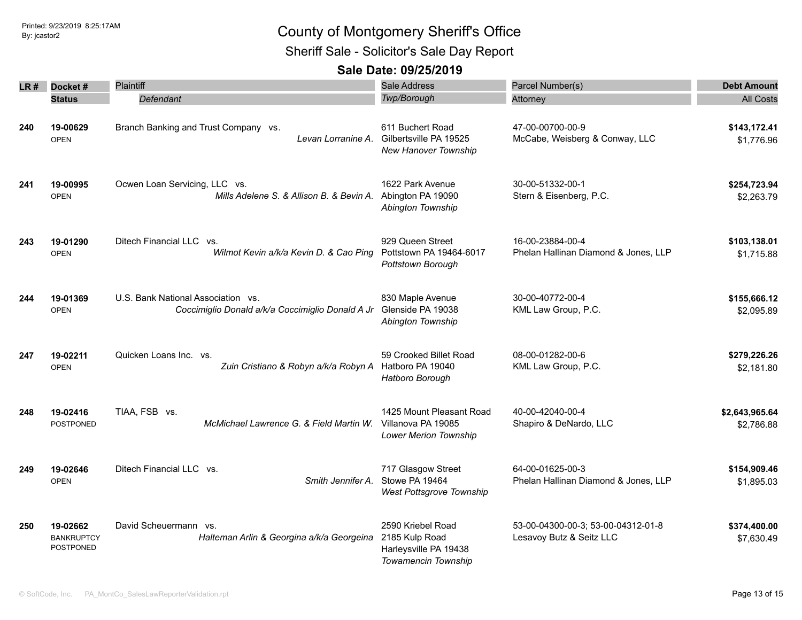Sheriff Sale - Solicitor's Sale Day Report

| LR # | Docket#                                    | <b>Plaintiff</b>                                                                       | <b>Sale Address</b>                                                                 | Parcel Number(s)                                               | <b>Debt Amount</b>           |
|------|--------------------------------------------|----------------------------------------------------------------------------------------|-------------------------------------------------------------------------------------|----------------------------------------------------------------|------------------------------|
|      | <b>Status</b>                              | <b>Defendant</b>                                                                       | Twp/Borough                                                                         | Attorney                                                       | <b>All Costs</b>             |
| 240  | 19-00629<br><b>OPEN</b>                    | Branch Banking and Trust Company vs.<br>Levan Lorranine A.                             | 611 Buchert Road<br>Gilbertsville PA 19525<br>New Hanover Township                  | 47-00-00700-00-9<br>McCabe, Weisberg & Conway, LLC             | \$143,172.41<br>\$1,776.96   |
| 241  | 19-00995<br><b>OPEN</b>                    | Ocwen Loan Servicing, LLC vs.<br>Mills Adelene S. & Allison B. & Bevin A.              | 1622 Park Avenue<br>Abington PA 19090<br>Abington Township                          | 30-00-51332-00-1<br>Stern & Eisenberg, P.C.                    | \$254,723.94<br>\$2,263.79   |
| 243  | 19-01290<br><b>OPEN</b>                    | Ditech Financial LLC vs.<br>Wilmot Kevin a/k/a Kevin D. & Cao Ping                     | 929 Queen Street<br>Pottstown PA 19464-6017<br>Pottstown Borough                    | 16-00-23884-00-4<br>Phelan Hallinan Diamond & Jones, LLP       | \$103,138.01<br>\$1,715.88   |
| 244  | 19-01369<br><b>OPEN</b>                    | U.S. Bank National Association vs.<br>Coccimiglio Donald a/k/a Coccimiglio Donald A Jr | 830 Maple Avenue<br>Glenside PA 19038<br>Abington Township                          | 30-00-40772-00-4<br>KML Law Group, P.C.                        | \$155,666.12<br>\$2,095.89   |
| 247  | 19-02211<br><b>OPEN</b>                    | Quicken Loans Inc. vs.<br>Zuin Cristiano & Robyn a/k/a Robyn A                         | 59 Crooked Billet Road<br>Hatboro PA 19040<br>Hatboro Borough                       | 08-00-01282-00-6<br>KML Law Group, P.C.                        | \$279,226.26<br>\$2,181.80   |
| 248  | 19-02416<br><b>POSTPONED</b>               | TIAA, FSB vs.<br>McMichael Lawrence G. & Field Martin W.                               | 1425 Mount Pleasant Road<br>Villanova PA 19085<br><b>Lower Merion Township</b>      | 40-00-42040-00-4<br>Shapiro & DeNardo, LLC                     | \$2,643,965.64<br>\$2,786.88 |
| 249  | 19-02646<br><b>OPEN</b>                    | Ditech Financial LLC vs.<br>Smith Jennifer A.                                          | 717 Glasgow Street<br>Stowe PA 19464<br>West Pottsgrove Township                    | 64-00-01625-00-3<br>Phelan Hallinan Diamond & Jones, LLP       | \$154,909.46<br>\$1,895.03   |
| 250  | 19-02662<br><b>BANKRUPTCY</b><br>POSTPONED | David Scheuermann vs.<br>Halteman Arlin & Georgina a/k/a Georgeina                     | 2590 Kriebel Road<br>2185 Kulp Road<br>Harleysville PA 19438<br>Towamencin Township | 53-00-04300-00-3; 53-00-04312-01-8<br>Lesavoy Butz & Seitz LLC | \$374,400.00<br>\$7,630.49   |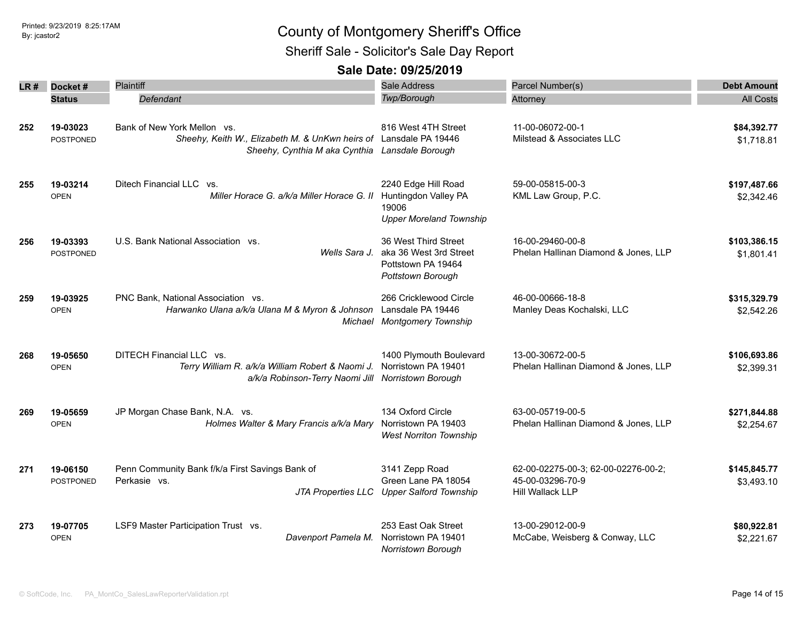Sheriff Sale - Solicitor's Sale Day Report

| LR # | Docket#          | Plaintiff                                                         | Sale Address                              | Parcel Number(s)                     | <b>Debt Amount</b> |
|------|------------------|-------------------------------------------------------------------|-------------------------------------------|--------------------------------------|--------------------|
|      | <b>Status</b>    | Defendant                                                         | Twp/Borough                               | Attorney                             | <b>All Costs</b>   |
|      |                  |                                                                   |                                           |                                      |                    |
| 252  | 19-03023         | Bank of New York Mellon vs.                                       | 816 West 4TH Street                       | 11-00-06072-00-1                     | \$84,392.77        |
|      | <b>POSTPONED</b> | Sheehy, Keith W., Elizabeth M. & UnKwn heirs of Lansdale PA 19446 |                                           | Milstead & Associates LLC            | \$1,718.81         |
|      |                  | Sheehy, Cynthia M aka Cynthia Lansdale Borough                    |                                           |                                      |                    |
|      |                  |                                                                   |                                           |                                      |                    |
| 255  | 19-03214         | Ditech Financial LLC vs.                                          | 2240 Edge Hill Road                       | 59-00-05815-00-3                     | \$197,487.66       |
|      | <b>OPEN</b>      | Miller Horace G. a/k/a Miller Horace G. II                        | Huntingdon Valley PA                      | KML Law Group, P.C.                  |                    |
|      |                  |                                                                   | 19006                                     |                                      | \$2,342.46         |
|      |                  |                                                                   | <b>Upper Moreland Township</b>            |                                      |                    |
|      |                  |                                                                   |                                           |                                      |                    |
| 256  | 19-03393         | U.S. Bank National Association vs.                                | 36 West Third Street                      | 16-00-29460-00-8                     | \$103,386.15       |
|      | <b>POSTPONED</b> | Wells Sara J.                                                     | aka 36 West 3rd Street                    | Phelan Hallinan Diamond & Jones, LLP | \$1,801.41         |
|      |                  |                                                                   | Pottstown PA 19464                        |                                      |                    |
|      |                  |                                                                   | Pottstown Borough                         |                                      |                    |
| 259  | 19-03925         | PNC Bank, National Association vs.                                | 266 Cricklewood Circle                    | 46-00-00666-18-8                     | \$315,329.79       |
|      | <b>OPEN</b>      | Harwanko Ulana a/k/a Ulana M & Myron & Johnson                    | Lansdale PA 19446                         | Manley Deas Kochalski, LLC           | \$2,542.26         |
|      |                  | Michael                                                           | <b>Montgomery Township</b>                |                                      |                    |
|      |                  |                                                                   |                                           |                                      |                    |
| 268  | 19-05650         | DITECH Financial LLC vs.                                          | 1400 Plymouth Boulevard                   | 13-00-30672-00-5                     | \$106,693.86       |
|      | OPEN             | Terry William R. a/k/a William Robert & Naomi J.                  | Norristown PA 19401                       | Phelan Hallinan Diamond & Jones, LLP | \$2,399.31         |
|      |                  | a/k/a Robinson-Terry Naomi Jill Norristown Borough                |                                           |                                      |                    |
|      |                  |                                                                   |                                           |                                      |                    |
| 269  | 19-05659         | JP Morgan Chase Bank, N.A. vs.                                    | 134 Oxford Circle                         | 63-00-05719-00-5                     | \$271,844.88       |
|      | <b>OPEN</b>      | Holmes Walter & Mary Francis a/k/a Mary                           | Norristown PA 19403                       | Phelan Hallinan Diamond & Jones, LLP | \$2,254.67         |
|      |                  |                                                                   | <b>West Norriton Township</b>             |                                      |                    |
|      |                  |                                                                   |                                           |                                      |                    |
| 271  | 19-06150         | Penn Community Bank f/k/a First Savings Bank of                   | 3141 Zepp Road                            | 62-00-02275-00-3; 62-00-02276-00-2;  | \$145,845.77       |
|      | <b>POSTPONED</b> | Perkasie vs.                                                      | Green Lane PA 18054                       | 45-00-03296-70-9                     | \$3,493.10         |
|      |                  |                                                                   | JTA Properties LLC Upper Salford Township | Hill Wallack LLP                     |                    |
|      | 19-07705         | LSF9 Master Participation Trust vs.                               | 253 East Oak Street                       | 13-00-29012-00-9                     | \$80,922.81        |
| 273  | <b>OPEN</b>      | Davenport Pamela M.                                               | Norristown PA 19401                       | McCabe, Weisberg & Conway, LLC       |                    |
|      |                  |                                                                   | Norristown Borough                        |                                      | \$2,221.67         |
|      |                  |                                                                   |                                           |                                      |                    |